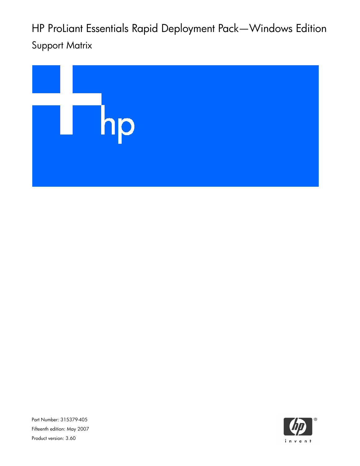HP ProLiant Essentials Rapid Deployment Pack—Windows Edition Support Matrix



Part Number: 315379-405 Fifteenth edition: May 2007 Product version: 3.60

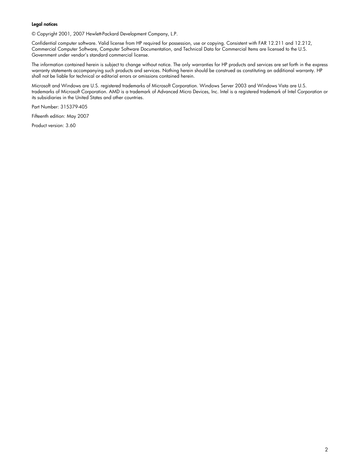#### Legal notices

© Copyright 2001, 2007 Hewlett-Packard Development Company, L.P.

Confidential computer software. Valid license from HP required for possession, use or copying. Consistent with FAR 12.211 and 12.212, Commercial Computer Software, Computer Software Documentation, and Technical Data for Commercial Items are licensed to the U.S. Government under vendor's standard commercial license.

The information contained herein is subject to change without notice. The only warranties for HP products and services are set forth in the express warranty statements accompanying such products and services. Nothing herein should be construed as constituting an additional warranty. HP shall not be liable for technical or editorial errors or omissions contained herein.

Microsoft and Windows are U.S. registered trademarks of Microsoft Corporation. Windows Server 2003 and Windows Vista are U.S. trademarks of Microsoft Corporation. AMD is a trademark of Advanced Micro Devices, Inc. Intel is a registered trademark of Intel Corporation or its subsidiaries in the United States and other countries.

Part Number: 315379-405

Fifteenth edition: May 2007

Product version: 3.60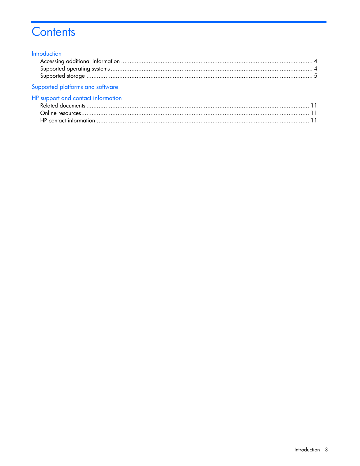# Contents

#### Introduction

| Supported platforms and software |  |
|----------------------------------|--|

# HP support and contact information

| <b>Example 11 September 1111</b> |  |
|----------------------------------|--|
|                                  |  |
|                                  |  |
|                                  |  |
|                                  |  |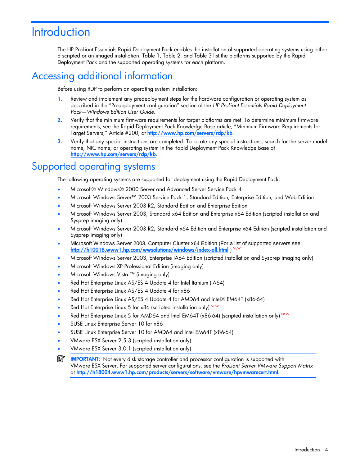# **Introduction**

The HP ProLiant Essentials Rapid Deployment Pack enables the installation of supported operating systems using either a scripted or an imaged installation. [Table 1,](#page-5-1) [Table 2,](#page-9-0) and [Table 3 l](#page-9-1)ist the platforms supported by the Rapid Deployment Pack and the supported operating systems for each platform.

### <span id="page-3-0"></span>Accessing additional information

Before using RDP to perform an operating system installation:

- 1. Review and implement any predeployment steps for the hardware configuration or operating system as described in the "Predeployment configuration" section of the *HP ProLiant Essentials Rapid Deployment Pack—Windows Edition User Guide.*
- 2. Verify that the minimum firmware requirements for target platforms are met. To determine minimum firmware requirements, see the Rapid Deployment Pack Knowledge Base article, "Minimum Firmware Requirements for Target Servers," Article #200, at <http://www.hp.com/servers/rdp/kb>.
- 3. Verify that any special instructions are completed. To locate any special instructions, search for the server model name, NIC name, or operating system in the Rapid Deployment Pack Knowledge Base at <http://www.hp.com/servers/rdp/kb>.

# <span id="page-3-1"></span>Supported operating systems

The following operating systems are supported for deployment using the Rapid Deployment Pack:

- Microsoft® Windows® 2000 Server and Advanced Server Service Pack 4
- Microsoft Windows Server™ 2003 Service Pack 1, Standard Edition, Enterprise Edition, and Web Edition
- Microsoft Windows Server 2003 R2, Standard Edition and Enterprise Edition
- Microsoft Windows Server 2003, Standard x64 Edition and Enterprise x64 Edition (scripted installation and Sysprep imaging only)
- Microsoft Windows Server 2003 R2, Standard x64 Edition and Enterprise x64 Edition (scripted installation and Sysprep imaging only)
- Microsoft Windows Server 2003, Computer Cluster x64 Edition (For a list of supported servers see <http://h10018.www1.hp.com/wwsolutions/windows/index-all.html> ) *NEW*
- Microsoft Windows Server 2003, Enterprise IA64 Edition (scripted installation and Sysprep imaging only)
- Microsoft Windows XP Professional Edition (imaging only)
- Microsoft Windows Vista ™ (imaging only)
- Red Hat Enterprise Linux AS/ES 4 Update 4 for Intel Itanium (IA64)
- Red Hat Enterprise Linux AS/ES 4 Update 4 for x86
- Red Hat Enterprise Linux AS/ES 4 Update 4 for AMD64 and Intel® EM64T (x86-64)
- Red Hat Enterprise Linux 5 for x86 (scripted installation only) *NEW*
- Red Hat Enterprise Linux 5 for AMD64 and Intel EM64T (x86-64) (scripted installation only) *NEW*
- SUSE Linux Enterprise Server 10 for x86
- SUSE Linux Enterprise Server 10 for AMD64 and Intel EM64T (x86-64)
- VMware ESX Server 2.5.3 (scripted installation only)
- VMware ESX Server 3.0.1 (scripted installation only)
- ſŻ IMPORTANT: Not every disk storage controller and processor configuration is supported with VMware ESX Server. For supported server configurations, see the *ProLiant Server VMware Support Matrix* at [http://h18004.www1.hp.com/products/servers/software/vmware/hpvmwarecert.html.](http://h18004.www1.hp.com/products/servers/software/vmware/hpvmwarecert.html)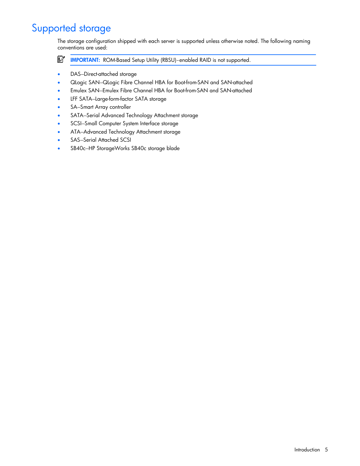# <span id="page-4-0"></span>Supported storage

The storage configuration shipped with each server is supported unless otherwise noted. The following naming conventions are used:

ľŻ IMPORTANT: ROM-Based Setup Utility (RBSU)–enabled RAID is not supported.

- DAS-Direct-attached storage
- QLogic SAN—QLogic Fibre Channel HBA for Boot-from-SAN and SAN-attached
- Emulex SAN—Emulex Fibre Channel HBA for Boot-from-SAN and SAN-attached
- LFF SATA—Large-form-factor SATA storage
- SA-Smart Array controller
- SATA—Serial Advanced Technology Attachment storage
- SCSI—Small Computer System Interface storage
- ATA—Advanced Technology Attachment storage
- SAS-Serial Attached SCSI
- SB40c—HP StorageWorks SB40c storage blade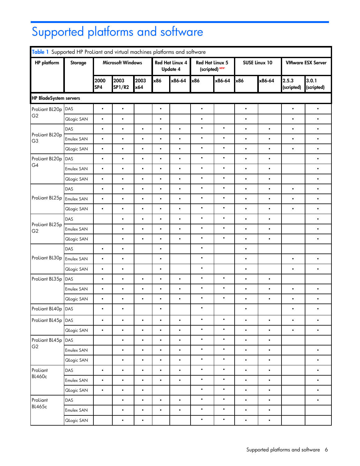# <span id="page-5-0"></span>Supported platforms and software

<span id="page-5-1"></span>

|                                  | Table 1 Supported HP ProLiant and virtual machines platforms and software |             |                          |             |                                    |           |                                          |           |                      |           |                          |                     |
|----------------------------------|---------------------------------------------------------------------------|-------------|--------------------------|-------------|------------------------------------|-----------|------------------------------------------|-----------|----------------------|-----------|--------------------------|---------------------|
| <b>HP</b> platform               | <b>Storage</b>                                                            |             | <b>Microsoft Windows</b> |             | Red Hat Linux 4<br><b>Update 4</b> |           | <b>Red Hat Linux 5</b><br>(scripted) NEW |           | <b>SUSE Linux 10</b> |           | <b>VMware ESX Server</b> |                     |
|                                  |                                                                           | 2000<br>SP4 | 2003<br><b>SP1/R2</b>    | 2003<br>x64 | x86                                | x86-64    | x86                                      | x86-64    | x86                  | x86-64    | 2.5.3<br>(scripted)      | 3.0.1<br>(scripted) |
| <b>HP BladeSystem servers</b>    |                                                                           |             |                          |             |                                    |           |                                          |           |                      |           |                          |                     |
| ProLiant BL20p                   | DAS                                                                       | $\bullet$   | $\bullet$                |             | $\bullet$                          |           | $\bullet$                                |           | $\bullet$            |           | $\bullet$                | $\bullet$           |
| G <sub>2</sub>                   | Qlogic SAN                                                                | $\bullet$   | $\bullet$                |             | $\bullet$                          |           | $\bullet$                                |           | $\bullet$            |           | $\bullet$                | $\bullet$           |
| ProLiant BL20p<br>G <sub>3</sub> | DAS                                                                       | $\bullet$   | $\bullet$                | $\bullet$   | $\bullet$                          | $\bullet$ | $\bullet$                                | $\bullet$ | $\bullet$            | $\bullet$ | $\bullet$                | $\bullet$           |
|                                  | Emulex SAN                                                                | $\bullet$   | $\bullet$                | $\bullet$   | $\bullet$                          | $\bullet$ | $\bullet$                                | $\bullet$ | $\bullet$            | $\bullet$ | $\bullet$                | $\bullet$           |
|                                  | Qlogic SAN                                                                | $\bullet$   | $\bullet$                | $\bullet$   | $\bullet$                          | $\bullet$ | $\bullet$                                | $\bullet$ | $\bullet$            | $\bullet$ | $\bullet$                | $\bullet$           |
| ProLiant BL20p                   | DAS                                                                       | $\bullet$   | $\bullet$                | $\bullet$   | $\bullet$                          | $\bullet$ | $\bullet$                                | $\bullet$ | $\bullet$            | $\bullet$ |                          | $\bullet$           |
| G4                               | Emulex SAN                                                                | $\bullet$   | $\bullet$                | $\bullet$   | $\bullet$                          | $\bullet$ | $\bullet$                                | $\bullet$ | $\bullet$            | $\bullet$ |                          | $\bullet$           |
|                                  | Qlogic SAN                                                                | $\bullet$   | $\bullet$                | $\bullet$   | $\bullet$                          | $\bullet$ | $\bullet$                                | $\bullet$ | $\bullet$            | $\bullet$ |                          | $\bullet$           |
|                                  | DAS                                                                       | $\bullet$   | $\bullet$                | $\bullet$   | $\bullet$                          | $\bullet$ | $\bullet$                                | $\bullet$ | $\bullet$            | $\bullet$ | $\bullet$                | $\bullet$           |
| ProLiant BL25p                   | Emulex SAN                                                                | $\bullet$   | $\bullet$                | $\bullet$   | $\bullet$                          | $\bullet$ | $\bullet$                                | $\bullet$ | $\bullet$            | $\bullet$ | $\bullet$                | $\bullet$           |
|                                  | Qlogic SAN                                                                | $\bullet$   | $\bullet$                | $\bullet$   | $\bullet$                          | $\bullet$ | $\bullet$                                | $\bullet$ | $\bullet$            | $\bullet$ | $\bullet$                | $\bullet$           |
| ProLiant BL25p<br>G <sub>2</sub> | DAS                                                                       |             | $\bullet$                | $\bullet$   | $\bullet$                          | $\bullet$ | $\bullet$                                | $\bullet$ | $\bullet$            | $\bullet$ |                          | $\bullet$           |
|                                  | Emulex SAN                                                                |             | $\bullet$                | $\bullet$   | $\bullet$                          | $\bullet$ | $\bullet$                                | $\bullet$ | $\bullet$            | $\bullet$ |                          | $\bullet$           |
|                                  | Qlogic SAN                                                                |             | $\bullet$                | $\bullet$   | $\bullet$                          | $\bullet$ | $\bullet$                                | $\bullet$ | $\bullet$            | $\bullet$ |                          | $\bullet$           |
|                                  | DAS                                                                       | $\bullet$   | $\bullet$                |             | $\bullet$                          |           | $\bullet$                                |           | $\bullet$            |           |                          |                     |
| ProLiant BL30p                   | Emulex SAN                                                                | $\bullet$   | $\bullet$                |             | $\bullet$                          |           | $\bullet$                                |           | $\bullet$            |           | $\bullet$                | $\bullet$           |
|                                  | Qlogic SAN                                                                | $\bullet$   | $\bullet$                |             | $\bullet$                          |           | $\bullet$                                |           | $\bullet$            |           | $\bullet$                | $\bullet$           |
| ProLiant BL35p                   | DAS                                                                       | $\bullet$   | $\bullet$                | $\bullet$   | $\bullet$                          | $\bullet$ | $\bullet$                                | $\bullet$ | $\bullet$            | $\bullet$ |                          |                     |
|                                  | Emulex SAN                                                                | $\bullet$   | $\bullet$                | $\bullet$   | $\bullet$                          | $\bullet$ | $\bullet$                                | $\bullet$ | $\bullet$            | $\bullet$ | $\bullet$                | $\bullet$           |
|                                  | Qlogic SAN                                                                | $\bullet$   | $\bullet$                | $\bullet$   | $\bullet$                          | $\bullet$ | $\bullet$                                | $\bullet$ | $\bullet$            | $\bullet$ | $\bullet$                | $\bullet$           |
| ProLiant BL40p DAS               |                                                                           | $\bullet$   | $\bullet$                |             | $\bullet$                          |           | $\bullet$                                |           | $\bullet$            |           | $\bullet$                | $\bullet$           |
| ProLiant BL45p DAS               |                                                                           | $\bullet$   | $\bullet$                | $\bullet$   | $\bullet$                          | $\bullet$ | $\bullet$                                | $\bullet$ | $\bullet$            | $\bullet$ | $\bullet$                | $\bullet$           |
|                                  | Qlogic SAN                                                                | $\bullet$   | $\bullet$                | $\bullet$   | $\bullet$                          | $\bullet$ | $\bullet$                                | $\bullet$ | $\bullet$            | $\bullet$ | $\bullet$                | $\bullet$           |
| ProLiant BL45p DAS               |                                                                           |             | $\bullet$                | $\bullet$   | $\bullet$                          | $\bullet$ | $\bullet$                                | $\bullet$ | $\bullet$            | $\bullet$ |                          |                     |
| G <sub>2</sub>                   | Emulex SAN                                                                |             | $\bullet$                | $\bullet$   | $\bullet$                          | $\bullet$ | $\bullet$                                | $\bullet$ | $\bullet$            | $\bullet$ |                          | $\bullet$           |
|                                  | Qlogic SAN                                                                |             | $\bullet$                | $\bullet$   | $\bullet$                          | $\bullet$ | $\bullet$                                | $\bullet$ | $\bullet$            | $\bullet$ |                          | $\bullet$           |
| ProLiant                         | DAS                                                                       | $\bullet$   | $\bullet$                | $\bullet$   | $\bullet$                          | $\bullet$ | $\bullet$                                | $\bullet$ | $\bullet$            | $\bullet$ |                          | $\bullet$           |
| <b>BL460c</b>                    | Emulex SAN                                                                | $\bullet$   | $\bullet$                | $\bullet$   | $\bullet$                          | $\bullet$ | $\bullet$                                | $\bullet$ | $\bullet$            | $\bullet$ |                          | $\bullet$           |
|                                  | Qlogic SAN                                                                | $\bullet$   | $\bullet$                | $\bullet$   |                                    |           | $\bullet$                                | $\bullet$ | $\bullet$            | $\bullet$ |                          | $\bullet$           |
| ProLiant                         | DAS                                                                       |             | $\bullet$                | $\bullet$   | $\bullet$                          | $\bullet$ | $\bullet$                                | $\bullet$ | $\bullet$            | $\bullet$ |                          | $\bullet$           |
| <b>BL465c</b>                    | Emulex SAN                                                                |             | $\bullet$                | $\bullet$   | $\bullet$                          | $\bullet$ | $\bullet$                                | $\bullet$ | $\bullet$            | $\bullet$ |                          |                     |
|                                  | Qlogic SAN                                                                |             | $\bullet$                | $\bullet$   |                                    |           | $\bullet$                                | $\bullet$ | $\bullet$            | $\bullet$ |                          |                     |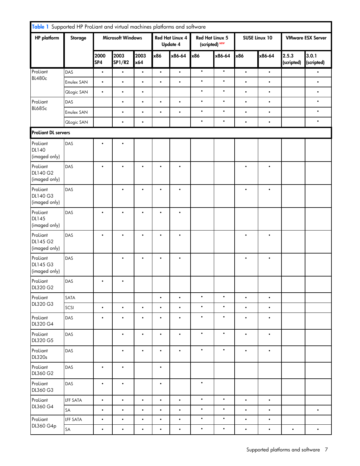| Table 1 Supported HP ProLiant and virtual machines platforms and software |                |                          |                       |             |           |                                           |                                          |           |                      |           |                          |                     |
|---------------------------------------------------------------------------|----------------|--------------------------|-----------------------|-------------|-----------|-------------------------------------------|------------------------------------------|-----------|----------------------|-----------|--------------------------|---------------------|
| <b>HP</b> platform                                                        | <b>Storage</b> | <b>Microsoft Windows</b> |                       |             |           | <b>Red Hat Linux 4</b><br><b>Update 4</b> | <b>Red Hat Linux 5</b><br>(scripted) NEW |           | <b>SUSE Linux 10</b> |           | <b>VMware ESX Server</b> |                     |
|                                                                           |                | 2000<br>SP4              | 2003<br><b>SP1/R2</b> | 2003<br>x64 | x86       | x86-64                                    | x86                                      | x86-64    | x86                  | x86-64    | 2.5.3<br>(scripted)      | 3.0.1<br>(scripted) |
| ProLiant                                                                  | DAS            | $\bullet$                | $\bullet$             | $\bullet$   | $\bullet$ | $\bullet$                                 | $\bullet$                                | $\bullet$ | $\bullet$            | $\bullet$ |                          | $\bullet$           |
| <b>BL480c</b>                                                             | Emulex SAN     | $\bullet$                | $\bullet$             | $\bullet$   | $\bullet$ | $\bullet$                                 | $\bullet$                                | $\bullet$ | $\bullet$            | $\bullet$ |                          | $\bullet$           |
|                                                                           | Qlogic SAN     | $\bullet$                | $\bullet$             | $\bullet$   |           |                                           | $\bullet$                                | $\bullet$ | $\bullet$            | $\bullet$ |                          | $\bullet$           |
| ProLiant                                                                  | DAS            |                          | $\bullet$             | $\bullet$   | $\bullet$ | $\bullet$                                 | $\bullet$                                | $\bullet$ | $\bullet$            | $\bullet$ |                          | $\bullet$           |
| <b>BL685c</b>                                                             | Emulex SAN     |                          | $\bullet$             | $\bullet$   | $\bullet$ | $\bullet$                                 | $\bullet$                                | $\bullet$ | $\bullet$            | $\bullet$ |                          | $\bullet$           |
|                                                                           | Qlogic SAN     |                          | $\bullet$             | $\bullet$   |           |                                           | $\bullet$                                | $\bullet$ | $\bullet$            | $\bullet$ |                          | $\bullet$           |
| <b>ProLiant DL servers</b>                                                |                |                          |                       |             |           |                                           |                                          |           |                      |           |                          |                     |
| ProLiant<br>DL140<br>(imaged only)                                        | DAS            | ٠                        |                       |             |           |                                           |                                          |           |                      |           |                          |                     |
| ProLiant<br>DL140 G2<br>(imaged only)                                     | DAS            | $\bullet$                | $\bullet$             | $\bullet$   | $\bullet$ | $\bullet$                                 |                                          |           | $\bullet$            | $\bullet$ |                          |                     |
| ProLiant<br>DL140 G3<br>(imaged only)                                     | DAS            |                          | $\bullet$             | $\bullet$   | $\bullet$ | $\bullet$                                 |                                          |           | $\bullet$            | $\bullet$ |                          |                     |
| ProLiant<br><b>DL145</b><br>(imaged only)                                 | DAS            | $\bullet$                | $\bullet$             | $\bullet$   | $\bullet$ | $\bullet$                                 |                                          |           |                      |           |                          |                     |
| ProLiant<br>DL145 G2<br>(imaged only)                                     | DAS            | $\bullet$                | $\bullet$             | $\bullet$   | $\bullet$ | $\bullet$                                 |                                          |           | $\bullet$            | $\bullet$ |                          |                     |
| ProLiant<br>DL145 G3<br>(imaged only)                                     | DAS            |                          | $\bullet$             | $\bullet$   | $\bullet$ | $\bullet$                                 |                                          |           | $\bullet$            | $\bullet$ |                          |                     |
| ProLiant<br>DL320 G2                                                      | DAS            | $\bullet$                | $\bullet$             |             |           |                                           |                                          |           |                      |           |                          |                     |
| ProLiant                                                                  | SATA           |                          |                       |             | $\bullet$ | $\bullet$                                 | $\bullet$                                | $\bullet$ | $\bullet$            | $\bullet$ |                          |                     |
| DL320 G3                                                                  | SCSI           | $\bullet$                | $\bullet$             | $\bullet$   | $\bullet$ | $\bullet$                                 | $\bullet$                                | $\bullet$ | $\bullet$            | $\bullet$ |                          |                     |
| ProLiant<br>DL320 G4                                                      | DAS            | $\bullet$                | $\bullet$             | $\bullet$   | $\bullet$ | $\bullet$                                 | $\bullet$                                | $\bullet$ | $\bullet$            | $\bullet$ |                          |                     |
| ProLiant<br>DL320 G5                                                      | DAS            |                          | $\bullet$             | $\bullet$   | $\bullet$ | $\bullet$                                 | $\bullet$                                | $\bullet$ | $\bullet$            | $\bullet$ |                          |                     |
| ProLiant<br><b>DL320s</b>                                                 | DAS            |                          | $\bullet$             | $\bullet$   | $\bullet$ | $\bullet$                                 | $\bullet$                                | $\bullet$ | $\bullet$            | $\bullet$ |                          |                     |
| ProLiant<br>DL360 G2                                                      | DAS            | $\bullet$                | $\bullet$             |             | $\bullet$ |                                           |                                          |           |                      |           |                          |                     |
| ProLiant<br>DL360 G3                                                      | DAS            | $\bullet$                | $\bullet$             |             | $\bullet$ |                                           | $\bullet$                                |           |                      |           |                          |                     |
| ProLiant                                                                  | LFF SATA       | $\bullet$                | $\bullet$             | $\bullet$   | $\bullet$ | $\bullet$                                 | $\bullet$                                | $\bullet$ | $\bullet$            | $\bullet$ |                          |                     |
| DL360 G4                                                                  | SA             | $\bullet$                | $\bullet$             | $\bullet$   | $\bullet$ | $\bullet$                                 | $\bullet$                                | $\bullet$ | $\bullet$            | $\bullet$ |                          | $\bullet$           |
| ProLiant                                                                  | LFF SATA       | $\bullet$                | $\bullet$             | $\bullet$   | $\bullet$ | $\bullet$                                 | $\bullet$                                | $\bullet$ | $\bullet$            | $\bullet$ |                          |                     |
| DL360 G4p                                                                 | SA             | $\bullet$                | $\bullet$             | $\bullet$   | $\bullet$ | $\bullet$                                 | $\bullet$                                | $\bullet$ | $\bullet$            | $\bullet$ | $\bullet$                | $\bullet$           |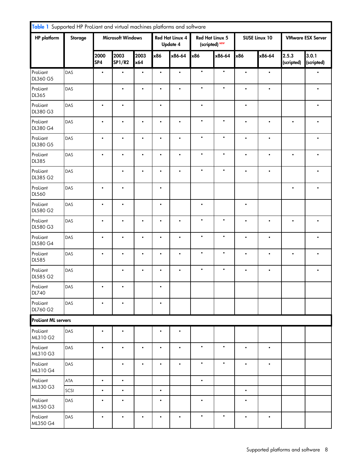| Table 1 Supported HP ProLiant and virtual machines platforms and software |      |             |                          |             |           |                                           |           |                                          |           |               |                     |                          |  |
|---------------------------------------------------------------------------|------|-------------|--------------------------|-------------|-----------|-------------------------------------------|-----------|------------------------------------------|-----------|---------------|---------------------|--------------------------|--|
| <b>HP</b> platform<br><b>Storage</b>                                      |      |             | <b>Microsoft Windows</b> |             |           | <b>Red Hat Linux 4</b><br><b>Update 4</b> |           | <b>Red Hat Linux 5</b><br>(scripted) NEW |           | SUSE Linux 10 |                     | <b>VMware ESX Server</b> |  |
|                                                                           |      | 2000<br>SP4 | 2003<br><b>SP1/R2</b>    | 2003<br>x64 | x86       | x86-64                                    | x86       | x86-64                                   | x86       | x86-64        | 2.5.3<br>(scripted) | 3.0.1<br>(scripted)      |  |
| ProLiant<br>DL360 G5                                                      | DAS  | $\bullet$   | $\bullet$                | $\bullet$   | $\bullet$ | $\bullet$                                 | $\bullet$ | $\bullet$                                | $\bullet$ | $\bullet$     |                     | $\bullet$                |  |
| ProLiant<br><b>DL365</b>                                                  | DAS  |             | $\bullet$                | $\bullet$   | $\bullet$ | $\bullet$                                 | $\bullet$ | $\bullet$                                | $\bullet$ | $\bullet$     |                     | $\bullet$                |  |
| ProLiant<br>DL380 G3                                                      | DAS  | $\bullet$   | $\bullet$                |             | $\bullet$ |                                           | $\bullet$ |                                          | $\bullet$ |               |                     | $\bullet$                |  |
| ProLiant<br>DL380 G4                                                      | DAS  | $\bullet$   | $\bullet$                | $\bullet$   | $\bullet$ | $\bullet$                                 | $\bullet$ | $\bullet$                                | $\bullet$ | $\bullet$     | $\bullet$           | $\bullet$                |  |
| ProLiant<br>DL380 G5                                                      | DAS  | $\bullet$   | $\bullet$                | $\bullet$   | $\bullet$ | $\bullet$                                 | $\bullet$ | $\bullet$                                | $\bullet$ | $\bullet$     |                     | $\bullet$                |  |
| ProLiant<br>DL385                                                         | DAS  | $\bullet$   | $\bullet$                | $\bullet$   | $\bullet$ | $\bullet$                                 | $\bullet$ | $\bullet$                                | $\bullet$ | $\bullet$     | $\bullet$           | $\bullet$                |  |
| ProLiant<br>DL385 G2                                                      | DAS  |             | $\bullet$                | $\bullet$   | $\bullet$ | $\bullet$                                 | $\bullet$ | $\bullet$                                | $\bullet$ | $\bullet$     |                     | $\bullet$                |  |
| ProLiant<br><b>DL560</b>                                                  | DAS  | $\bullet$   | $\bullet$                |             | $\bullet$ |                                           |           |                                          |           |               | $\bullet$           | $\bullet$                |  |
| ProLiant<br>DL580 G2                                                      | DAS  | $\bullet$   | $\bullet$                |             | $\bullet$ |                                           | $\bullet$ |                                          | $\bullet$ |               |                     |                          |  |
| ProLiant<br>DL580 G3                                                      | DAS  | $\bullet$   | $\bullet$                | $\bullet$   | $\bullet$ | $\bullet$                                 | $\bullet$ | $\bullet$                                | $\bullet$ | $\bullet$     | $\bullet$           | $\bullet$                |  |
| ProLiant<br>DL580 G4                                                      | DAS  | $\bullet$   | $\bullet$                | $\bullet$   | $\bullet$ | $\bullet$                                 | $\bullet$ | $\bullet$                                | $\bullet$ | $\bullet$     |                     | $\bullet$                |  |
| ProLiant<br><b>DL585</b>                                                  | DAS  | $\bullet$   | $\bullet$                | $\bullet$   | $\bullet$ | $\bullet$                                 | $\bullet$ | $\bullet$                                | $\bullet$ | $\bullet$     | $\bullet$           | $\bullet$                |  |
| ProLiant<br>DL585 G2                                                      | DAS  |             | $\bullet$                | $\bullet$   | $\bullet$ | $\bullet$                                 | $\bullet$ | $\bullet$                                | $\bullet$ | $\bullet$     |                     | $\bullet$                |  |
| ProLiant<br><b>DL740</b>                                                  | DAS  |             |                          |             |           |                                           |           |                                          |           |               |                     |                          |  |
| ProLiant<br>DL760 G2                                                      | DAS  | $\bullet$   | $\bullet$                |             | $\bullet$ |                                           |           |                                          |           |               |                     |                          |  |
| <b>ProLiant ML servers</b>                                                |      |             |                          |             |           |                                           |           |                                          |           |               |                     |                          |  |
| ProLiant<br>ML310 G2                                                      | DAS  | $\bullet$   | $\bullet$                |             | $\bullet$ | $\bullet$                                 |           |                                          |           |               |                     |                          |  |
| ProLiant<br>ML310 G3                                                      | DAS  | $\bullet$   | ٠                        | $\bullet$   | $\bullet$ | $\bullet$                                 | $\bullet$ | $\bullet$                                | $\bullet$ | $\bullet$     |                     |                          |  |
| ProLiant<br>ML310 G4                                                      | DAS  |             | $\bullet$                | $\bullet$   | $\bullet$ | $\bullet$                                 | $\bullet$ | $\bullet$                                | $\bullet$ | $\bullet$     |                     |                          |  |
| ProLiant                                                                  | ATA  | $\bullet$   | $\bullet$                |             |           |                                           | $\bullet$ |                                          |           |               |                     |                          |  |
| ML330 G3                                                                  | SCSI | $\bullet$   | $\bullet$                |             | $\bullet$ |                                           |           |                                          | $\bullet$ |               |                     |                          |  |
| ProLiant<br>ML350 G3                                                      | DAS  | ٠           | $\bullet$                |             | $\bullet$ |                                           | $\bullet$ |                                          | $\bullet$ |               |                     |                          |  |
| ProLiant<br>ML350 G4                                                      | DAS  | $\bullet$   | $\bullet$                | $\bullet$   | $\bullet$ | $\bullet$                                 | $\bullet$ | $\bullet$                                | $\bullet$ | $\bullet$     |                     |                          |  |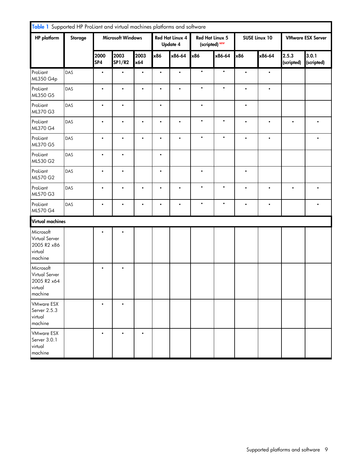| Table 1 Supported HP ProLiant and virtual machines platforms and software |                |             |                          |             |           |                                           |                                   |           |                      |           |                          |                     |
|---------------------------------------------------------------------------|----------------|-------------|--------------------------|-------------|-----------|-------------------------------------------|-----------------------------------|-----------|----------------------|-----------|--------------------------|---------------------|
| <b>HP</b> platform                                                        | <b>Storage</b> |             | <b>Microsoft Windows</b> |             |           | <b>Red Hat Linux 4</b><br><b>Update 4</b> | Red Hat Linux 5<br>(scripted) NEW |           | <b>SUSE Linux 10</b> |           | <b>VMware ESX Server</b> |                     |
|                                                                           |                | 2000<br>SP4 | 2003<br><b>SP1/R2</b>    | 2003<br>x64 | x86       | x86-64                                    | x86                               | x86-64    | x86                  | x86-64    | 2.5.3<br>(scripted)      | 3.0.1<br>(scripted) |
| ProLiant<br>ML350 G4p                                                     | DAS            | $\bullet$   | $\bullet$                | $\bullet$   | $\bullet$ | $\bullet$                                 | $\bullet$                         | $\bullet$ | $\bullet$            | $\bullet$ |                          |                     |
| ProLiant<br>ML350 G5                                                      | DAS            | $\bullet$   | $\bullet$                | $\bullet$   | $\bullet$ | $\bullet$                                 | $\bullet$                         | $\bullet$ | $\bullet$            | $\bullet$ |                          |                     |
| ProLiant<br>ML370 G3                                                      | DAS            | $\bullet$   | $\bullet$                |             | $\bullet$ |                                           | $\bullet$                         |           | $\bullet$            |           |                          |                     |
| ProLiant<br>ML370 G4                                                      | DAS            | $\bullet$   | $\bullet$                | $\bullet$   | $\bullet$ | $\bullet$                                 | $\bullet$                         | $\bullet$ | $\bullet$            | $\bullet$ | $\bullet$                | $\bullet$           |
| ProLiant<br>ML370 G5                                                      | DAS            | $\bullet$   | $\bullet$                | $\bullet$   | $\bullet$ | $\bullet$                                 | $\bullet$                         | $\bullet$ | $\bullet$            | $\bullet$ |                          | $\bullet$           |
| ProLiant<br>ML530 G2                                                      | DAS            | $\bullet$   | $\bullet$                |             | $\bullet$ |                                           |                                   |           |                      |           |                          |                     |
| ProLiant<br>ML570 G2                                                      | DAS            | $\bullet$   | $\bullet$                |             | $\bullet$ |                                           | $\bullet$                         |           | $\bullet$            |           |                          |                     |
| ProLiant<br>ML570 G3                                                      | DAS            | $\bullet$   | $\bullet$                | $\bullet$   | $\bullet$ | $\bullet$                                 | $\bullet$                         | $\bullet$ | $\bullet$            | $\bullet$ | $\bullet$                | $\bullet$           |
| ProLiant<br>ML570 G4                                                      | DAS            | $\bullet$   | $\bullet$                | $\bullet$   | $\bullet$ | $\bullet$                                 | $\bullet$                         | $\bullet$ | $\bullet$            | $\bullet$ |                          | $\bullet$           |
| <b>Virtual machines</b>                                                   |                |             |                          |             |           |                                           |                                   |           |                      |           |                          |                     |
| Microsoft<br>Virtual Server<br>2005 R2 x86<br>virtual<br>machine          |                |             |                          |             |           |                                           |                                   |           |                      |           |                          |                     |
| Microsoft<br>Virtual Server<br>2005 R2 x64<br>virtual<br>machine          |                | $\bullet$   | $\bullet$                |             |           |                                           |                                   |           |                      |           |                          |                     |
| <b>VMware ESX</b><br>Server 2.5.3<br>virtual<br>machine                   |                | $\bullet$   | $\bullet$                |             |           |                                           |                                   |           |                      |           |                          |                     |
| <b>VMware ESX</b><br>Server 3.0.1<br>virtual<br>machine                   |                | $\bullet$   |                          | $\bullet$   |           |                                           |                                   |           |                      |           |                          |                     |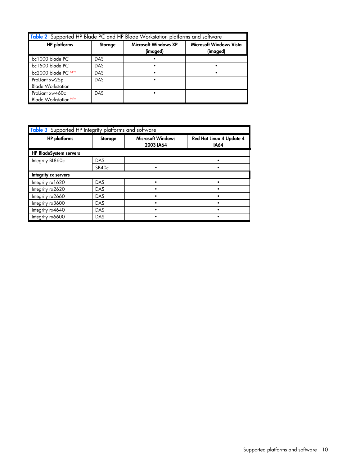<span id="page-9-0"></span>

| Table 2 Supported HP Blade PC and HP Blade Workstation platforms and software |            |                                         |                                            |  |  |  |  |  |
|-------------------------------------------------------------------------------|------------|-----------------------------------------|--------------------------------------------|--|--|--|--|--|
| <b>HP</b> platforms                                                           | Storage    | <b>Microsoft Windows XP</b><br>(imaged) | <b>Microsoft Windows Vista</b><br>(imaged) |  |  |  |  |  |
| bc1000 blade PC                                                               | DAS        |                                         |                                            |  |  |  |  |  |
| bc1500 blade PC                                                               | <b>DAS</b> |                                         |                                            |  |  |  |  |  |
| bc2000 blade PC NEW                                                           | DAS        |                                         |                                            |  |  |  |  |  |
| ProLiant xw25p<br><b>Blade Workstation</b>                                    | <b>DAS</b> |                                         |                                            |  |  |  |  |  |
| ProLiant xw460c<br>Blade Workstation <sup>NEW</sup>                           | DAS        |                                         |                                            |  |  |  |  |  |

<span id="page-9-1"></span>

| Table 3 Supported HP Integrity platforms and software |                   |                                       |                                         |  |  |  |  |  |
|-------------------------------------------------------|-------------------|---------------------------------------|-----------------------------------------|--|--|--|--|--|
| <b>HP</b> platforms                                   | Storage           | <b>Microsoft Windows</b><br>2003 IA64 | Red Hat Linux 4 Update 4<br><b>IA64</b> |  |  |  |  |  |
| <b>HP BladeSystem servers</b>                         |                   |                                       |                                         |  |  |  |  |  |
| Integrity BL860c                                      | DAS               |                                       |                                         |  |  |  |  |  |
|                                                       | SB40 <sub>c</sub> |                                       |                                         |  |  |  |  |  |
| Integrity rx servers                                  |                   |                                       |                                         |  |  |  |  |  |
| Integrity rx1620                                      | DAS               |                                       |                                         |  |  |  |  |  |
| Integrity rx2620                                      | <b>DAS</b>        |                                       |                                         |  |  |  |  |  |
| Integrity rx2660                                      | DAS               |                                       |                                         |  |  |  |  |  |
| Integrity rx3600                                      | DAS               |                                       |                                         |  |  |  |  |  |
| Integrity rx4640                                      | DAS               |                                       |                                         |  |  |  |  |  |
| Integrity rx6600                                      | DAS               |                                       |                                         |  |  |  |  |  |